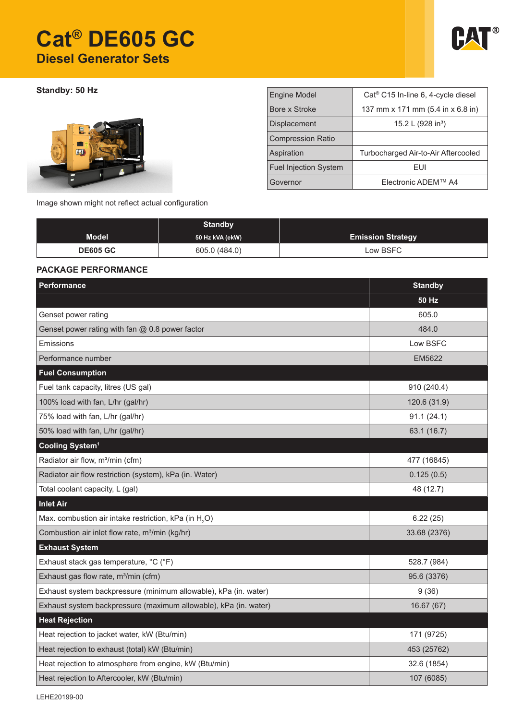# **Cat® DE605 GC Diesel Generator Sets**



**Standby: 50 Hz** 



| <b>Engine Model</b><br>Cat <sup>®</sup> C15 In-line 6, 4-cycle diesel |
|-----------------------------------------------------------------------|
|                                                                       |
| Bore x Stroke<br>137 mm x 171 mm (5.4 in x 6.8 in)                    |
| 15.2 L (928 in <sup>3</sup> )<br><b>Displacement</b>                  |
| <b>Compression Ratio</b>                                              |
| Aspiration<br>Turbocharged Air-to-Air Aftercooled                     |
| <b>Fuel Injection System</b><br>FUI                                   |
| Electronic ADEM™ A4<br>Governor                                       |

Image shown might not reflect actual configuration

|                 | <b>Standby</b>  |                          |
|-----------------|-----------------|--------------------------|
| <b>Model</b>    | 50 Hz kVA (ekW) | <b>Emission Strategy</b> |
| <b>DE605 GC</b> | 605.0 (484.0)   | Low BSFC                 |

## **PACKAGE PERFORMANCE**

| Performance                                                       | <b>Standby</b> |
|-------------------------------------------------------------------|----------------|
|                                                                   | <b>50 Hz</b>   |
| Genset power rating                                               | 605.0          |
| Genset power rating with fan @ 0.8 power factor                   | 484.0          |
| <b>Emissions</b>                                                  | Low BSFC       |
| Performance number                                                | <b>EM5622</b>  |
| <b>Fuel Consumption</b>                                           |                |
| Fuel tank capacity, litres (US gal)                               | 910 (240.4)    |
| 100% load with fan, L/hr (gal/hr)                                 | 120.6 (31.9)   |
| 75% load with fan, L/hr (gal/hr)                                  | 91.1(24.1)     |
| 50% load with fan, L/hr (gal/hr)                                  | 63.1 (16.7)    |
| Cooling System <sup>1</sup>                                       |                |
| Radiator air flow, m <sup>3</sup> /min (cfm)                      | 477 (16845)    |
| Radiator air flow restriction (system), kPa (in. Water)           | 0.125(0.5)     |
| Total coolant capacity, L (gal)                                   | 48 (12.7)      |
| <b>Inlet Air</b>                                                  |                |
| Max. combustion air intake restriction, kPa (in H <sub>2</sub> O) | 6.22(25)       |
| Combustion air inlet flow rate, m <sup>3</sup> /min (kg/hr)       | 33.68 (2376)   |
| <b>Exhaust System</b>                                             |                |
| Exhaust stack gas temperature, °C (°F)                            | 528.7 (984)    |
| Exhaust gas flow rate, m <sup>3</sup> /min (cfm)                  | 95.6 (3376)    |
| Exhaust system backpressure (minimum allowable), kPa (in. water)  | 9(36)          |
| Exhaust system backpressure (maximum allowable), kPa (in. water)  | 16.67(67)      |
| <b>Heat Rejection</b>                                             |                |
| Heat rejection to jacket water, kW (Btu/min)                      | 171 (9725)     |
| Heat rejection to exhaust (total) kW (Btu/min)                    | 453 (25762)    |
| Heat rejection to atmosphere from engine, kW (Btu/min)            | 32.6 (1854)    |
| Heat rejection to Aftercooler, kW (Btu/min)                       | 107 (6085)     |